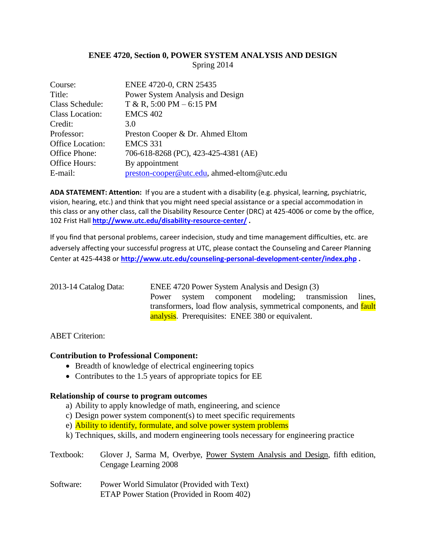# **ENEE 4720, Section 0, POWER SYSTEM ANALYSIS AND DESIGN** Spring 2014

| Course:          | ENEE 4720-0, CRN 25435                      |
|------------------|---------------------------------------------|
| Title:           | Power System Analysis and Design            |
| Class Schedule:  | $T & R$ , 5:00 PM – 6:15 PM                 |
| Class Location:  | <b>EMCS 402</b>                             |
| Credit:          | 3.0                                         |
| Professor:       | Preston Cooper & Dr. Ahmed Eltom            |
| Office Location: | <b>EMCS 331</b>                             |
| Office Phone:    | 706-618-8268 (PC), 423-425-4381 (AE)        |
| Office Hours:    | By appointment                              |
| E-mail:          | preston-cooper@utc.edu, ahmed-eltom@utc.edu |

**ADA STATEMENT: Attention:** If you are a student with a disability (e.g. physical, learning, psychiatric, vision, hearing, etc.) and think that you might need special assistance or a special accommodation in this class or any other class, call the Disability Resource Center (DRC) at 425-4006 or come by the office, 102 Frist Hall **<http://www.utc.edu/disability-resource-center/> .**

If you find that personal problems, career indecision, study and time management difficulties, etc. are adversely affecting your successful progress at UTC, please contact the Counseling and Career Planning Center at 425-4438 or **<http://www.utc.edu/counseling-personal-development-center/index.php> .** 

| 2013-14 Catalog Data: | ENEE 4720 Power System Analysis and Design (3) |  |                                                         |  |                                                                     |  |
|-----------------------|------------------------------------------------|--|---------------------------------------------------------|--|---------------------------------------------------------------------|--|
|                       |                                                |  |                                                         |  | Power system component modeling; transmission lines,                |  |
|                       |                                                |  |                                                         |  | transformers, load flow analysis, symmetrical components, and fault |  |
|                       |                                                |  | <b>analysis.</b> Prerequisites: ENEE 380 or equivalent. |  |                                                                     |  |

ABET Criterion:

### **Contribution to Professional Component:**

- Breadth of knowledge of electrical engineering topics
- Contributes to the 1.5 years of appropriate topics for EE

#### **Relationship of course to program outcomes**

- a) Ability to apply knowledge of math, engineering, and science
- c) Design power system component(s) to meet specific requirements
- e) Ability to identify, formulate, and solve power system problems
- k) Techniques, skills, and modern engineering tools necessary for engineering practice

Textbook: Glover J, Sarma M, Overbye, Power System Analysis and Design, fifth edition, Cengage Learning 2008

Software: Power World Simulator (Provided with Text) ETAP Power Station (Provided in Room 402)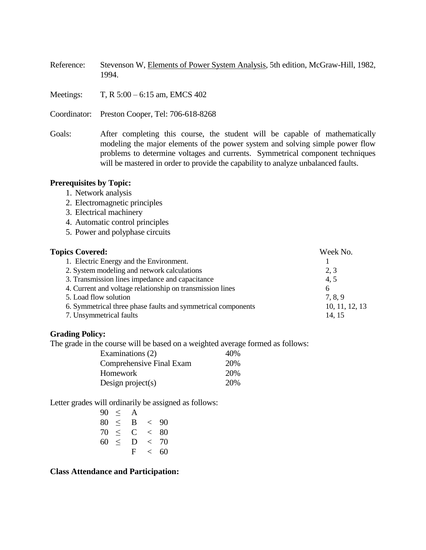Reference: Stevenson W, Elements of Power System Analysis, 5th edition, McGraw-Hill, 1982, 1994.

Meetings: T, R 5:00 – 6:15 am, EMCS 402

Coordinator: Preston Cooper, Tel: 706-618-8268

Goals: After completing this course, the student will be capable of mathematically modeling the major elements of the power system and solving simple power flow problems to determine voltages and currents. Symmetrical component techniques will be mastered in order to provide the capability to analyze unbalanced faults.

#### **Prerequisites by Topic:**

- 1. Network analysis
- 2. Electromagnetic principles
- 3. Electrical machinery
- 4. Automatic control principles
- 5. Power and polyphase circuits

| <b>Topics Covered:</b>                                       | Week No.       |
|--------------------------------------------------------------|----------------|
| 1. Electric Energy and the Environment.                      |                |
| 2. System modeling and network calculations                  | 2, 3           |
| 3. Transmission lines impedance and capacitance              | 4,5            |
| 4. Current and voltage relationship on transmission lines    | 6              |
| 5. Load flow solution                                        | 7, 8, 9        |
| 6. Symmetrical three phase faults and symmetrical components | 10, 11, 12, 13 |
| 7. Unsymmetrical faults                                      | 14, 15         |

#### **Grading Policy:**

The grade in the course will be based on a weighted average formed as follows:

| Examinations (2)         | 40% |
|--------------------------|-----|
| Comprehensive Final Exam | 20% |
| Homework                 | 20% |
| Design project(s)        | 20% |

Letter grades will ordinarily be assigned as follows:

| 90 | $\,<$ | A |       |    |
|----|-------|---|-------|----|
| 80 | $\,<$ | B | $\lt$ | 90 |
| 70 | $\lt$ | C | $\lt$ | 80 |
| 60 | $\,<$ | D | $\lt$ | 70 |
|    |       | F | ✓     | 60 |

**Class Attendance and Participation:**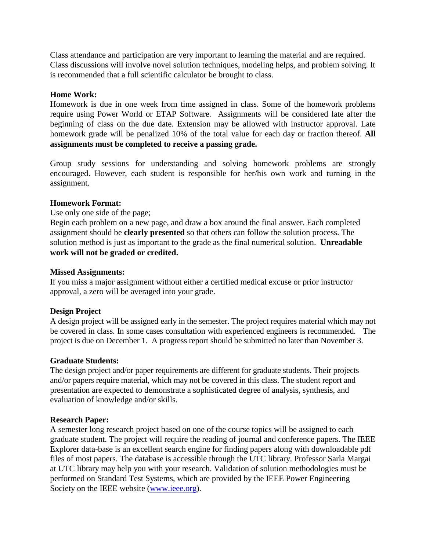Class attendance and participation are very important to learning the material and are required. Class discussions will involve novel solution techniques, modeling helps, and problem solving. It is recommended that a full scientific calculator be brought to class.

## **Home Work:**

Homework is due in one week from time assigned in class. Some of the homework problems require using Power World or ETAP Software. Assignments will be considered late after the beginning of class on the due date. Extension may be allowed with instructor approval. Late homework grade will be penalized 10% of the total value for each day or fraction thereof. **All assignments must be completed to receive a passing grade.**

Group study sessions for understanding and solving homework problems are strongly encouraged. However, each student is responsible for her/his own work and turning in the assignment.

## **Homework Format:**

### Use only one side of the page;

Begin each problem on a new page, and draw a box around the final answer. Each completed assignment should be **clearly presented** so that others can follow the solution process. The solution method is just as important to the grade as the final numerical solution. **Unreadable work will not be graded or credited.**

## **Missed Assignments:**

If you miss a major assignment without either a certified medical excuse or prior instructor approval, a zero will be averaged into your grade.

# **Design Project**

A design project will be assigned early in the semester. The project requires material which may not be covered in class. In some cases consultation with experienced engineers is recommended. The project is due on December 1. A progress report should be submitted no later than November 3.

### **Graduate Students:**

The design project and/or paper requirements are different for graduate students. Their projects and/or papers require material, which may not be covered in this class. The student report and presentation are expected to demonstrate a sophisticated degree of analysis, synthesis, and evaluation of knowledge and/or skills.

# **Research Paper:**

A semester long research project based on one of the course topics will be assigned to each graduate student. The project will require the reading of journal and conference papers. The IEEE Explorer data-base is an excellent search engine for finding papers along with downloadable pdf files of most papers. The database is accessible through the UTC library. Professor Sarla Margai at UTC library may help you with your research. Validation of solution methodologies must be performed on Standard Test Systems, which are provided by the IEEE Power Engineering Society on the IEEE website [\(www.ieee.org\)](http://www.ieee.org/).